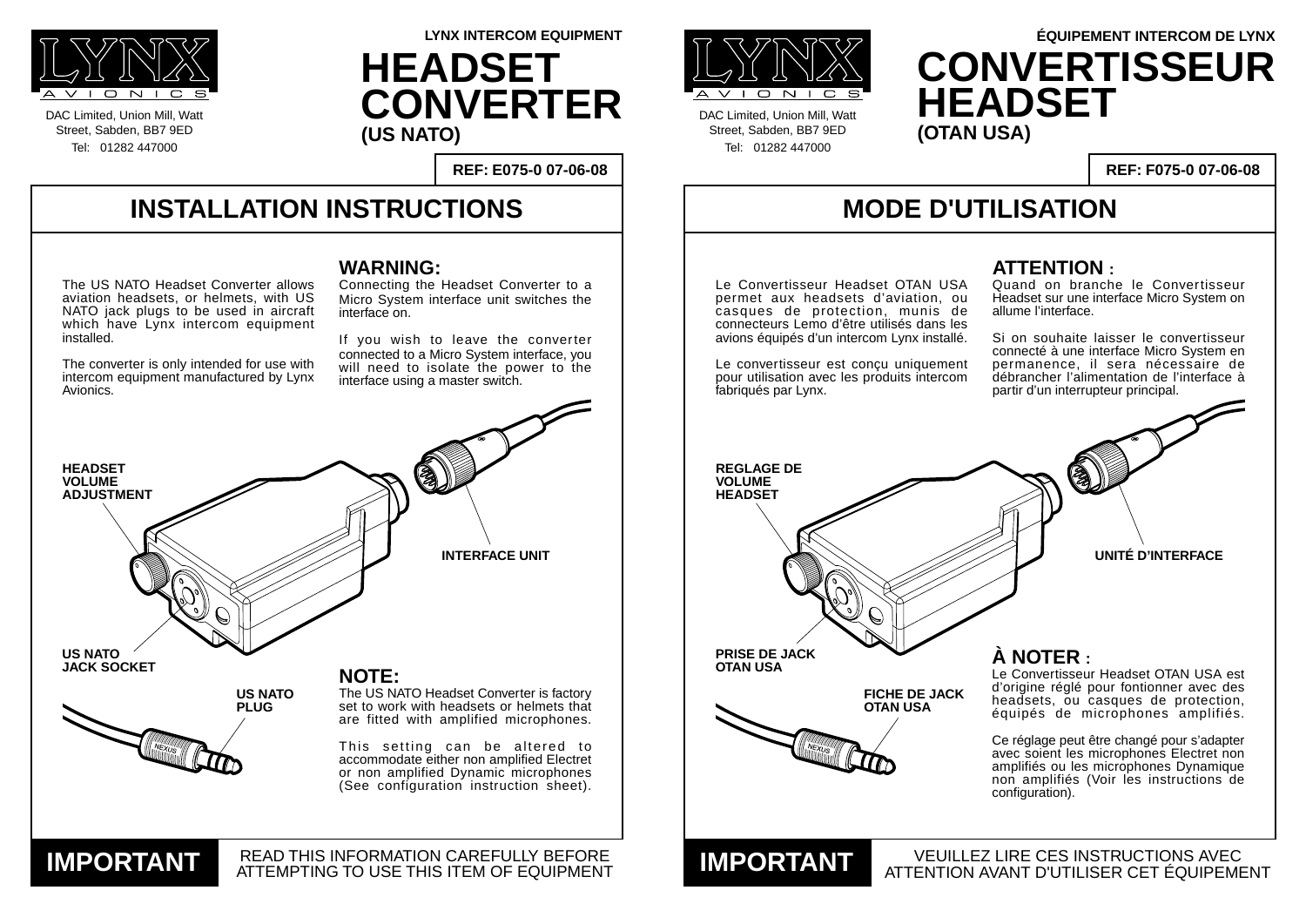#### **INSTALLATION INSTRUCTIONS**

DAC Limited, Union Mill, Watt Street, Sabden, BB7 9ED Tel: 01282 447000



DAC Limited, Union Mill, Watt Street, Sabden, BB7 9ED Tel: 01282 447000

**REF: E075-0 07-06-08**

**LYNX INTERCOM EQUIPMENT**

## **MODE D'UTILISATION**

VEUILLEZ LIRE CES INSTRUCTIONS AVEC

**REF: F075-0 07-06-08**

#### **WARNING:**

Connecting the Headset Converter to a Micro System interface unit switches the interface on.

If you wish to leave the converter connected to a Micro System interface, you will need to isolate the power to the interface using a master switch.

**UNITÉ D'INTERFACE**

#### **ATTENTION :**



Quand on branche le Convertisseur Headset sur une interface Micro System on allume l'interface.



Si on souhaite laisser le convertisseur connecté à une interface Micro System en permanence, il sera nécessaire de débrancher l'alimentation de l'interface à partir d'un interrupteur principal.



**HEADSET CONVERTER (US NATO)**

# **ÉQUIPEMENT INTERCOM DE LYNX CONVERTISSEUR HEADSET**

The US NATO Headset Converter allows aviation headsets, or helmets, with US NATO jack plugs to be used in aircraft which have Lynx intercom equipment installed.

The converter is only intended for use with intercom equipment manufactured by Lynx Avionics.

**OTAN USA À NOTER :**

Le Convertisseur Headset OTAN USA est d'origine réglé pour fontionner avec des headsets, ou casques de protection, équipés de microphones amplifiés.

Ce réglage peut être changé pour s'adapter avec soient les microphones Electret non amplifiés ou les microphones Dynamique non amplifiés (Voir les instructions de configuration).

Le Convertisseur Headset OTAN USA permet aux headsets d'aviation, ou casques de protection, munis de connecteurs Lemo d'être utilisés dans les avions équipés d'un intercom Lynx installé.

Le convertisseur est conçu uniquement pour utilisation avec les produits intercom fabriqués par Lynx.